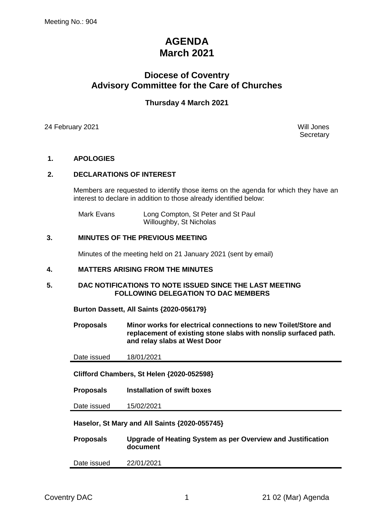# **AGENDA March 2021**

# **Diocese of Coventry Advisory Committee for the Care of Churches**

# **Thursday 4 March 2021**

24 February 2021 Will Jones

**Secretary** 

#### **1. APOLOGIES**

#### **2. DECLARATIONS OF INTEREST**

Members are requested to identify those items on the agenda for which they have an interest to declare in addition to those already identified below:

Mark Evans Long Compton, St Peter and St Paul Willoughby, St Nicholas

#### **3. MINUTES OF THE PREVIOUS MEETING**

Minutes of the meeting held on 21 January 2021 (sent by email)

#### **4. MATTERS ARISING FROM THE MINUTES**

#### **5. DAC NOTIFICATIONS TO NOTE ISSUED SINCE THE LAST MEETING FOLLOWING DELEGATION TO DAC MEMBERS**

**Burton Dassett, All Saints {2020-056179}**

**Proposals Minor works for electrical connections to new Toilet/Store and replacement of existing stone slabs with nonslip surfaced path. and relay slabs at West Door**

Date issued 18/01/2021

**Clifford Chambers, St Helen {2020-052598}**

**Proposals Installation of swift boxes**

Date issued 15/02/2021

**Haselor, St Mary and All Saints {2020-055745}**

| <b>Proposals</b> | Upgrade of Heating System as per Overview and Justification |
|------------------|-------------------------------------------------------------|
|                  | document                                                    |

Date issued 22/01/2021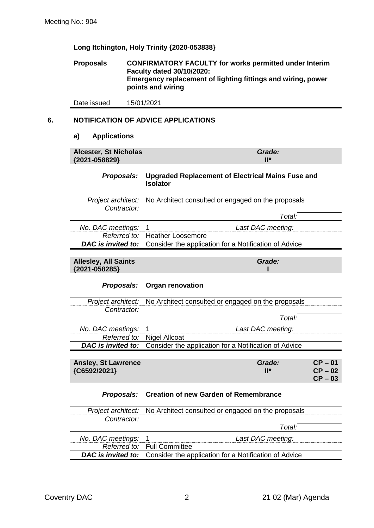**Long Itchington, Holy Trinity {2020-053838}**

**Proposals CONFIRMATORY FACULTY for works permitted under Interim Faculty dated 30/10/2020: Emergency replacement of lighting fittings and wiring, power points and wiring**

Date issued 15/01/2021

# **6. NOTIFICATION OF ADVICE APPLICATIONS**

#### **a) Applications**

| <b>Alcester, St Nicholas</b><br>{2021-058829} | Grade:<br>$\mathsf{II}^\star$                                                                                      |  |  |  |
|-----------------------------------------------|--------------------------------------------------------------------------------------------------------------------|--|--|--|
| Proposals:                                    | <b>Upgraded Replacement of Electrical Mains Fuse and</b><br><b>Isolator</b>                                        |  |  |  |
|                                               | <i>Project architect:</i> No Architect consulted or engaged on the proposals                                       |  |  |  |
| Contractor:                                   | Total:                                                                                                             |  |  |  |
|                                               |                                                                                                                    |  |  |  |
| No. DAC meetings: 1                           | Last DAC meeting:                                                                                                  |  |  |  |
|                                               | Referred to: Heather Loosemore                                                                                     |  |  |  |
|                                               | $\mathbf{D} \mathbf{A} \mathbf{C}$ is invitad to $\mathbf{C}$ coorder the cooligation for a Natification of Advise |  |  |  |

*DAC is invited to:* Consider the application for a Notification of Advice

# **Allesley, All Saints**

*Grade:* **I**

**{2021-058285}**

## *Proposals:* **Organ renovation**

|                                            | Project architect: No Architect consulted or engaged on the proposals           |                        |  |
|--------------------------------------------|---------------------------------------------------------------------------------|------------------------|--|
| Contractor:                                |                                                                                 |                        |  |
|                                            | Total:                                                                          |                        |  |
| No. DAC meetings: 1                        | Last DAC meeting:                                                               |                        |  |
|                                            | Referred to: Nigel Allcoat                                                      |                        |  |
|                                            | <b>DAC is invited to:</b> Consider the application for a Notification of Advice |                        |  |
|                                            |                                                                                 |                        |  |
| <b>Ansley, St Lawrence</b><br>{C6592/2021} | Grade:<br>$\mathbf{II}^*$                                                       | $CP - 01$<br>$CP - 02$ |  |

#### *Proposals:* **Creation of new Garden of Remembrance**

|                     | Project architect: No Architect consulted or engaged on the proposals           |
|---------------------|---------------------------------------------------------------------------------|
| Contractor:         |                                                                                 |
|                     | Total:                                                                          |
| No. DAC meetings: 1 | Last DAC meeting:                                                               |
|                     | <i>Referred to:</i> Full Committee                                              |
|                     | <b>DAC is invited to:</b> Consider the application for a Notification of Advice |

**CP – 03**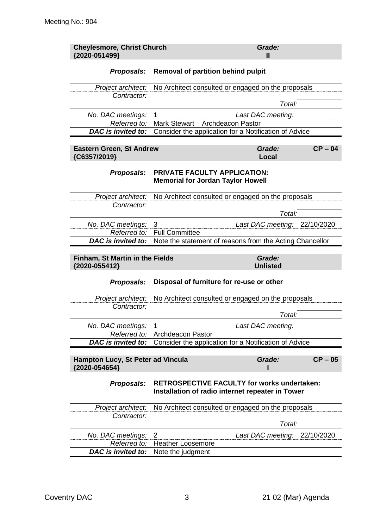| <b>Cheylesmore, Christ Church</b><br>{2020-051499} |                                                                          | Grade:<br>Ш                                                                                            |            |
|----------------------------------------------------|--------------------------------------------------------------------------|--------------------------------------------------------------------------------------------------------|------------|
| Proposals:                                         | Removal of partition behind pulpit                                       |                                                                                                        |            |
| Project architect:                                 |                                                                          | No Architect consulted or engaged on the proposals                                                     |            |
| Contractor:                                        |                                                                          |                                                                                                        |            |
|                                                    |                                                                          | Total:                                                                                                 |            |
| No. DAC meetings:                                  | 1                                                                        | Last DAC meeting:                                                                                      |            |
| Referred to:<br>DAC is invited to:                 | <b>Mark Stewart</b>                                                      | <b>Archdeacon Pastor</b>                                                                               |            |
|                                                    |                                                                          | Consider the application for a Notification of Advice                                                  |            |
| <b>Eastern Green, St Andrew</b><br>{C6357/2019}    |                                                                          | Grade:<br>Local                                                                                        | $CP - 04$  |
| <b>Proposals:</b>                                  | PRIVATE FACULTY APPLICATION:<br><b>Memorial for Jordan Taylor Howell</b> |                                                                                                        |            |
| Project architect:                                 |                                                                          | No Architect consulted or engaged on the proposals                                                     |            |
| Contractor:                                        |                                                                          |                                                                                                        |            |
|                                                    |                                                                          | Total:                                                                                                 |            |
| No. DAC meetings:                                  | 3                                                                        | Last DAC meeting: 22/10/2020                                                                           |            |
| Referred to:<br>DAC is invited to:                 | <b>Full Committee</b>                                                    | Note the statement of reasons from the Acting Chancellor                                               |            |
| Finham, St Martin in the Fields<br>{2020-055412}   |                                                                          | <b>Unlisted</b>                                                                                        |            |
| <b>Proposals:</b>                                  | Disposal of furniture for re-use or other                                |                                                                                                        |            |
| Project architect:                                 |                                                                          | No Architect consulted or engaged on the proposals                                                     |            |
| Contractor:                                        |                                                                          |                                                                                                        |            |
|                                                    |                                                                          | Total:                                                                                                 |            |
| No. DAC meetings:<br>Referred to:                  | 1<br><b>Archdeacon Pastor</b>                                            | Last DAC meeting:                                                                                      |            |
| <b>DAC</b> is invited to:                          |                                                                          | Consider the application for a Notification of Advice                                                  |            |
| Hampton Lucy, St Peter ad Vincula                  |                                                                          | Grade:                                                                                                 | $CP - 05$  |
| {2020-054654}                                      |                                                                          |                                                                                                        |            |
| Proposals:                                         |                                                                          | <b>RETROSPECTIVE FACULTY for works undertaken:</b><br>Installation of radio internet repeater in Tower |            |
| Project architect:                                 |                                                                          | No Architect consulted or engaged on the proposals                                                     |            |
| Contractor:                                        |                                                                          | Total:                                                                                                 |            |
| No. DAC meetings:                                  |                                                                          |                                                                                                        |            |
|                                                    |                                                                          |                                                                                                        |            |
| Referred to:                                       | 2<br><b>Heather Loosemore</b>                                            | Last DAC meeting:                                                                                      | 22/10/2020 |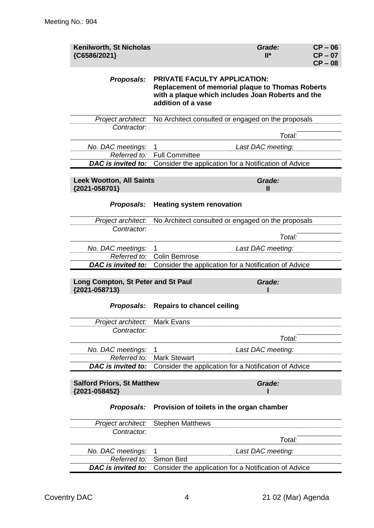| Kenilworth, St Nicholas<br>{C6586/2021}             |                                                                                                                                                                           | Grade:<br>$II^*$  | $CP - 06$<br>$CP - 07$<br>$CP - 08$ |  |
|-----------------------------------------------------|---------------------------------------------------------------------------------------------------------------------------------------------------------------------------|-------------------|-------------------------------------|--|
| Proposals:                                          | <b>PRIVATE FACULTY APPLICATION:</b><br><b>Replacement of memorial plaque to Thomas Roberts</b><br>with a plaque which includes Joan Roberts and the<br>addition of a vase |                   |                                     |  |
| Project architect:                                  | No Architect consulted or engaged on the proposals                                                                                                                        |                   |                                     |  |
| Contractor:                                         |                                                                                                                                                                           | Total:            |                                     |  |
|                                                     |                                                                                                                                                                           |                   |                                     |  |
| No. DAC meetings:<br>Referred to:                   | 1<br><b>Full Committee</b>                                                                                                                                                | Last DAC meeting: |                                     |  |
| DAC is invited to:                                  | Consider the application for a Notification of Advice                                                                                                                     |                   |                                     |  |
|                                                     |                                                                                                                                                                           |                   |                                     |  |
| <b>Leek Wootton, All Saints</b>                     |                                                                                                                                                                           | Grade:            |                                     |  |
| {2021-058701}                                       |                                                                                                                                                                           | Ш                 |                                     |  |
| Proposals:                                          | <b>Heating system renovation</b>                                                                                                                                          |                   |                                     |  |
| Project architect:                                  | No Architect consulted or engaged on the proposals                                                                                                                        |                   |                                     |  |
| Contractor:                                         |                                                                                                                                                                           |                   |                                     |  |
|                                                     |                                                                                                                                                                           | Total:            |                                     |  |
| No. DAC meetings:<br>Referred to:                   | 1<br><b>Colin Bemrose</b>                                                                                                                                                 | Last DAC meeting: |                                     |  |
| DAC is invited to:                                  | Consider the application for a Notification of Advice                                                                                                                     |                   |                                     |  |
|                                                     |                                                                                                                                                                           |                   |                                     |  |
| Long Compton, St Peter and St Paul<br>{2021-058713} |                                                                                                                                                                           | Grade:            |                                     |  |
| Proposals:                                          | <b>Repairs to chancel ceiling</b>                                                                                                                                         |                   |                                     |  |
| Project architect: Mark Evans                       |                                                                                                                                                                           |                   |                                     |  |
| Contractor:                                         |                                                                                                                                                                           |                   |                                     |  |
|                                                     |                                                                                                                                                                           | Total:            |                                     |  |
| No. DAC meetings:                                   | 1                                                                                                                                                                         | Last DAC meeting: |                                     |  |
| Referred to:<br><b>DAC</b> is invited to:           | <b>Mark Stewart</b><br>Consider the application for a Notification of Advice                                                                                              |                   |                                     |  |
|                                                     |                                                                                                                                                                           |                   |                                     |  |
| {2021-058452}                                       | <b>Salford Priors, St Matthew</b><br>Grade:                                                                                                                               |                   |                                     |  |
| Proposals:                                          | Provision of toilets in the organ chamber                                                                                                                                 |                   |                                     |  |
| Project architect:                                  | <b>Stephen Matthews</b>                                                                                                                                                   |                   |                                     |  |
| Contractor:                                         |                                                                                                                                                                           |                   |                                     |  |
|                                                     |                                                                                                                                                                           | Total:            |                                     |  |
| No. DAC meetings:                                   | 1                                                                                                                                                                         | Last DAC meeting: |                                     |  |
| Referred to:                                        | Simon Bird                                                                                                                                                                |                   |                                     |  |
| DAC is invited to:                                  | Consider the application for a Notification of Advice                                                                                                                     |                   |                                     |  |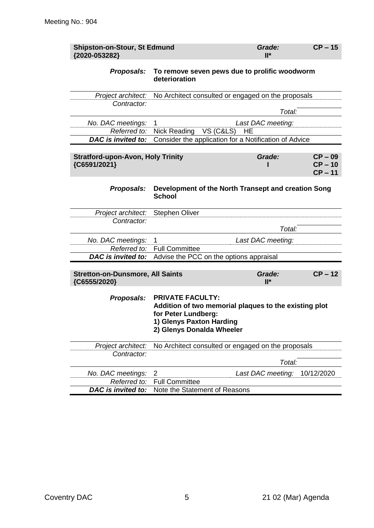| <b>Shipston-on-Stour, St Edmund</b><br>{2020-053282}     |                                                                                                                                                                  | Grade:<br>$II^*$  | $CP - 15$                           |
|----------------------------------------------------------|------------------------------------------------------------------------------------------------------------------------------------------------------------------|-------------------|-------------------------------------|
| <b>Proposals:</b>                                        | To remove seven pews due to prolific woodworm<br>deterioration                                                                                                   |                   |                                     |
| Project architect:                                       | No Architect consulted or engaged on the proposals                                                                                                               |                   |                                     |
| Contractor:                                              |                                                                                                                                                                  |                   |                                     |
|                                                          |                                                                                                                                                                  | Total:            |                                     |
| No. DAC meetings:                                        | 1                                                                                                                                                                | Last DAC meeting: |                                     |
| Referred to:                                             | Nick Reading<br>VS (C&LS)                                                                                                                                        | HЕ                |                                     |
| <b>DAC</b> is invited to:                                | Consider the application for a Notification of Advice                                                                                                            |                   |                                     |
| <b>Stratford-upon-Avon, Holy Trinity</b><br>{C6591/2021} |                                                                                                                                                                  | Grade:            | $CP - 09$<br>$CP - 10$<br>$CP - 11$ |
| Proposals:                                               | Development of the North Transept and creation Song<br><b>School</b>                                                                                             |                   |                                     |
| Project architect:                                       | <b>Stephen Oliver</b>                                                                                                                                            |                   |                                     |
| Contractor:                                              |                                                                                                                                                                  |                   |                                     |
|                                                          |                                                                                                                                                                  | Total:            |                                     |
| No. DAC meetings:                                        | 1                                                                                                                                                                | Last DAC meeting: |                                     |
| Referred to:<br>DAC is invited to:                       | <b>Full Committee</b>                                                                                                                                            |                   |                                     |
|                                                          | Advise the PCC on the options appraisal                                                                                                                          |                   |                                     |
| <b>Stretton-on-Dunsmore, All Saints</b><br>{C6555/2020}  |                                                                                                                                                                  | Grade:<br>$II^*$  | $CP - 12$                           |
| Proposals:                                               | <b>PRIVATE FACULTY:</b><br>Addition of two memorial plaques to the existing plot<br>for Peter Lundberg:<br>1) Glenys Paxton Harding<br>2) Glenys Donalda Wheeler |                   |                                     |
| Project architect:                                       | No Architect consulted or engaged on the proposals                                                                                                               |                   |                                     |
| Contractor:                                              |                                                                                                                                                                  |                   |                                     |
|                                                          |                                                                                                                                                                  | Total:            |                                     |
| No. DAC meetings:                                        | $\overline{2}$                                                                                                                                                   | Last DAC meeting: | 10/12/2020                          |
| Referred to:                                             | <b>Full Committee</b>                                                                                                                                            |                   |                                     |
| DAC is invited to:                                       | Note the Statement of Reasons                                                                                                                                    |                   |                                     |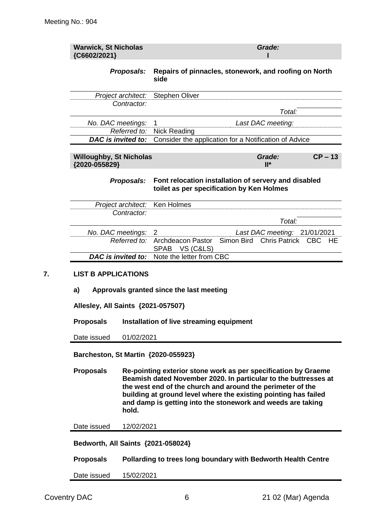| <b>Warwick, St Nicholas</b><br>{C6602/2021}                  |                                                                                                                                                                                                                                                                                                                                            | Grade:<br>Repairs of pinnacles, stonework, and roofing on North<br>side                           |  |  |
|--------------------------------------------------------------|--------------------------------------------------------------------------------------------------------------------------------------------------------------------------------------------------------------------------------------------------------------------------------------------------------------------------------------------|---------------------------------------------------------------------------------------------------|--|--|
|                                                              | Proposals:                                                                                                                                                                                                                                                                                                                                 |                                                                                                   |  |  |
|                                                              | Project architect:                                                                                                                                                                                                                                                                                                                         | <b>Stephen Oliver</b>                                                                             |  |  |
|                                                              | Contractor:                                                                                                                                                                                                                                                                                                                                | Total:                                                                                            |  |  |
| No. DAC meetings:                                            |                                                                                                                                                                                                                                                                                                                                            | 1<br>Last DAC meeting:                                                                            |  |  |
|                                                              | Referred to:                                                                                                                                                                                                                                                                                                                               | <b>Nick Reading</b>                                                                               |  |  |
| DAC is invited to:                                           |                                                                                                                                                                                                                                                                                                                                            | Consider the application for a Notification of Advice                                             |  |  |
| <b>Willoughby, St Nicholas</b><br>{2020-055829}              |                                                                                                                                                                                                                                                                                                                                            | Grade:<br>$CP - 13$<br>$II^*$                                                                     |  |  |
|                                                              | Proposals:                                                                                                                                                                                                                                                                                                                                 | Font relocation installation of servery and disabled<br>toilet as per specification by Ken Holmes |  |  |
|                                                              | Project architect:                                                                                                                                                                                                                                                                                                                         | Ken Holmes                                                                                        |  |  |
|                                                              | Contractor:                                                                                                                                                                                                                                                                                                                                | Total:                                                                                            |  |  |
| No. DAC meetings:                                            |                                                                                                                                                                                                                                                                                                                                            | 2<br>Last DAC meeting: 21/01/2021                                                                 |  |  |
|                                                              | Referred to:                                                                                                                                                                                                                                                                                                                               | Simon Bird<br>Archdeacon Pastor<br>Chris Patrick CBC<br>HE                                        |  |  |
| DAC is invited to:                                           |                                                                                                                                                                                                                                                                                                                                            | SPAB VS (C&LS)<br>Note the letter from CBC                                                        |  |  |
| a)<br>Allesley, All Saints {2021-057507}<br><b>Proposals</b> |                                                                                                                                                                                                                                                                                                                                            | Approvals granted since the last meeting<br>Installation of live streaming equipment              |  |  |
| Date issued                                                  | 01/02/2021                                                                                                                                                                                                                                                                                                                                 |                                                                                                   |  |  |
| Barcheston, St Martin {2020-055923}                          |                                                                                                                                                                                                                                                                                                                                            |                                                                                                   |  |  |
| <b>Proposals</b>                                             | Re-pointing exterior stone work as per specification by Graeme<br>Beamish dated November 2020. In particular to the buttresses at<br>the west end of the church and around the perimeter of the<br>building at ground level where the existing pointing has failed<br>and damp is getting into the stonework and weeds are taking<br>hold. |                                                                                                   |  |  |
| Date issued                                                  | 12/02/2021                                                                                                                                                                                                                                                                                                                                 |                                                                                                   |  |  |
| Bedworth, All Saints {2021-058024}                           |                                                                                                                                                                                                                                                                                                                                            |                                                                                                   |  |  |
|                                                              |                                                                                                                                                                                                                                                                                                                                            |                                                                                                   |  |  |
| <b>Proposals</b>                                             |                                                                                                                                                                                                                                                                                                                                            | Pollarding to trees long boundary with Bedworth Health Centre                                     |  |  |
| Date issued                                                  | 15/02/2021                                                                                                                                                                                                                                                                                                                                 |                                                                                                   |  |  |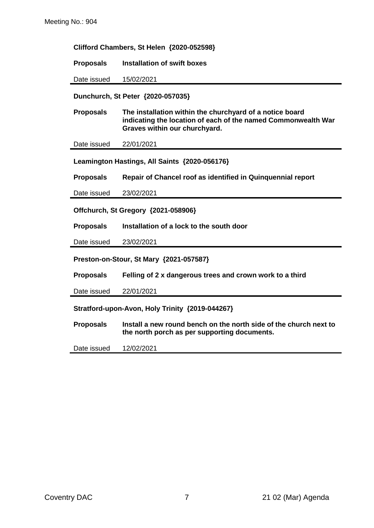**Clifford Chambers, St Helen {2020-052598}**

**Proposals Installation of swift boxes**

Date issued 15/02/2021

**Dunchurch, St Peter {2020-057035}**

**Proposals The installation within the churchyard of a notice board indicating the location of each of the named Commonwealth War Graves within our churchyard.**

Date issued 22/01/2021

**Leamington Hastings, All Saints {2020-056176}**

**Proposals Repair of Chancel roof as identified in Quinquennial report**

Date issued 23/02/2021

**Offchurch, St Gregory {2021-058906}**

**Proposals Installation of a lock to the south door**

Date issued 23/02/2021

**Preston-on-Stour, St Mary {2021-057587}**

**Proposals Felling of 2 x dangerous trees and crown work to a third**

Date issued 22/01/2021

**Stratford-upon-Avon, Holy Trinity {2019-044267}**

**Proposals Install a new round bench on the north side of the church next to the north porch as per supporting documents.**

Date issued 12/02/2021